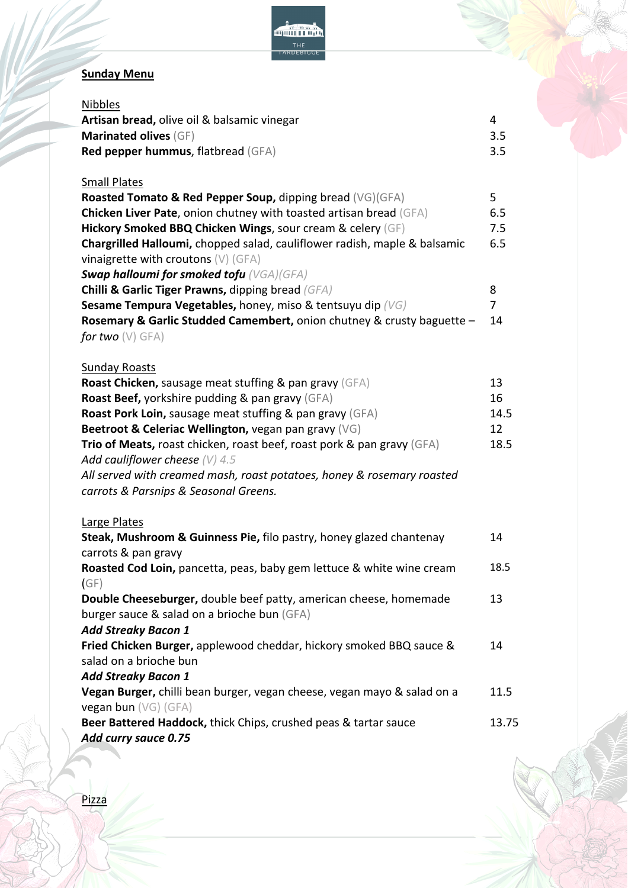

## **Sunday Menu**

| <b>Nibbles</b><br>Artisan bread, olive oil & balsamic vinegar<br>Marinated olives (GF)<br>Red pepper hummus, flatbread (GFA) | 4<br>3.5<br>3.5 |
|------------------------------------------------------------------------------------------------------------------------------|-----------------|
|                                                                                                                              |                 |
| <b>Small Plates</b>                                                                                                          |                 |
| <b>Roasted Tomato &amp; Red Pepper Soup, dipping bread (VG)(GFA)</b>                                                         | 5               |
| Chicken Liver Pate, onion chutney with toasted artisan bread (GFA)                                                           | 6.5             |
| Hickory Smoked BBQ Chicken Wings, sour cream & celery (GF)                                                                   | 7.5             |
| Chargrilled Halloumi, chopped salad, cauliflower radish, maple & balsamic<br>vinaigrette with croutons $(V)$ (GFA)           | 6.5             |
| <b>Swap halloumi for smoked tofu</b> (VGA)(GFA)                                                                              |                 |
| <b>Chilli &amp; Garlic Tiger Prawns, dipping bread (GFA)</b>                                                                 | 8               |
| <b>Sesame Tempura Vegetables, honey, miso &amp; tentsuyu dip (VG)</b>                                                        | 7               |
| Rosemary & Garlic Studded Camembert, onion chutney & crusty baguette -                                                       | 14              |
| for two $(V)$ GFA)                                                                                                           |                 |
|                                                                                                                              |                 |
| <b>Sunday Roasts</b>                                                                                                         |                 |
| Roast Chicken, sausage meat stuffing & pan gravy (GFA)                                                                       | 13              |
| Roast Beef, yorkshire pudding & pan gravy (GFA)                                                                              | 16              |
| <b>Roast Pork Loin, sausage meat stuffing &amp; pan gravy (GFA)</b>                                                          | 14.5            |
| Beetroot & Celeriac Wellington, vegan pan gravy (VG)                                                                         | 12              |
| <b>Trio of Meats, roast chicken, roast beef, roast pork &amp; pan gravy</b> (GFA)                                            | 18.5            |
| Add cauliflower cheese $(V)$ 4.5                                                                                             |                 |
| All served with creamed mash, roast potatoes, honey & rosemary roasted                                                       |                 |
| carrots & Parsnips & Seasonal Greens.                                                                                        |                 |
| Large Plates                                                                                                                 |                 |
| Steak, Mushroom & Guinness Pie, filo pastry, honey glazed chantenay                                                          | 14              |
| carrots & pan gravy                                                                                                          |                 |
| Roasted Cod Loin, pancetta, peas, baby gem lettuce & white wine cream                                                        | 18.5            |
| (GF)                                                                                                                         |                 |
| Double Cheeseburger, double beef patty, american cheese, homemade                                                            | 13              |
| burger sauce & salad on a brioche bun (GFA)                                                                                  |                 |
| <b>Add Streaky Bacon 1</b>                                                                                                   |                 |
| Fried Chicken Burger, applewood cheddar, hickory smoked BBQ sauce &                                                          | 14              |
| salad on a brioche bun                                                                                                       |                 |
| <b>Add Streaky Bacon 1</b>                                                                                                   |                 |
| Vegan Burger, chilli bean burger, vegan cheese, vegan mayo & salad on a                                                      | 11.5            |
| vegan bun (VG) (GFA)                                                                                                         |                 |
| Beer Battered Haddock, thick Chips, crushed peas & tartar sauce                                                              | 13.75           |
| Add curry sauce 0.75                                                                                                         |                 |